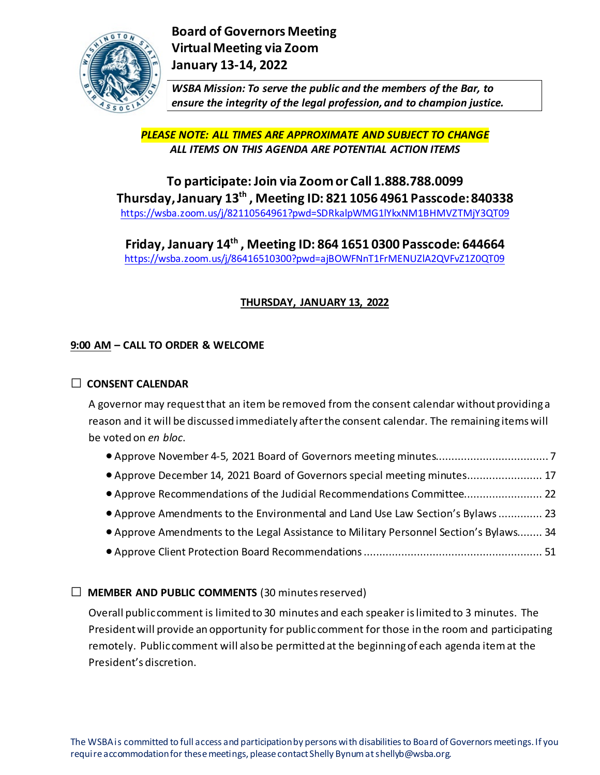

*WSBA Mission: To serve the public and the members of the Bar, to ensure the integrity of the legal profession, and to champion justice.*

*PLEASE NOTE: ALL TIMES ARE APPROXIMATE AND SUBJECT TO CHANGE ALL ITEMS ON THIS AGENDA ARE POTENTIAL ACTION ITEMS*

**To participate: Join via Zoom or Call 1.888.788.0099 Thursday, January 13th , Meeting ID: 821 1056 4961 Passcode: 840338** [https://wsba.zoom.us/j/82110564961?pwd=SDRkalpWMG1lYkxNM1BHMVZTMjY3QT09](https://gcc02.safelinks.protection.outlook.com/?url=https%3A%2F%2Fwsba.zoom.us%2Fj%2F82110564961%3Fpwd%3DSDRkalpWMG1lYkxNM1BHMVZTMjY3QT09&data=04%7C01%7CShellyb%40wsba.org%7C0fda845c6f2b43426c2f08d9c17ff37e%7C70ff1cc281ea46819fc9079ce419e302%7C0%7C0%7C637753577545717934%7CUnknown%7CTWFpbGZsb3d8eyJWIjoiMC4wLjAwMDAiLCJQIjoiV2luMzIiLCJBTiI6Ik1haWwiLCJXVCI6Mn0%3D%7C3000&sdata=nAmuAevJpIJIqsrN2PQcZf%2FnOj3mBV9MmEklhGygyfM%3D&reserved=0)

**Friday, January 14th , Meeting ID: 864 1651 0300 Passcode: 644664** [https://wsba.zoom.us/j/86416510300?pwd=ajBOWFNnT1FrMENUZlA2QVFvZ1Z0QT09](https://gcc02.safelinks.protection.outlook.com/?url=https%3A%2F%2Fwsba.zoom.us%2Fj%2F86416510300%3Fpwd%3DajBOWFNnT1FrMENUZlA2QVFvZ1Z0QT09&data=04%7C01%7CShellyb%40wsba.org%7C0fda845c6f2b43426c2f08d9c17ff37e%7C70ff1cc281ea46819fc9079ce419e302%7C0%7C0%7C637753577545717934%7CUnknown%7CTWFpbGZsb3d8eyJWIjoiMC4wLjAwMDAiLCJQIjoiV2luMzIiLCJBTiI6Ik1haWwiLCJXVCI6Mn0%3D%7C3000&sdata=kNziaQUvoNalfAtLMFzbesUOsyNJSINJiTghhljlWwE%3D&reserved=0)

# **THURSDAY, JANUARY 13, 2022**

# **9:00 AM – CALL TO ORDER & WELCOME**

## **□ CONSENT CALENDAR**

A governor may request that an item be removed from the consent calendar without providing a reason and it will be discussed immediately after the consent calendar. The remaining items will be voted on *en bloc*.

- Approve November 4-5, 2021 Board of Governors meeting minutes.................................... 7
- Approve December 14, 2021 Board of Governors special meeting minutes........................ 17
- Approve Recommendations of the Judicial Recommendations Committee......................... 22
- Approve Amendments to the Environmental and Land Use Law Section's Bylaws.............. 23
- Approve Amendments to the Legal Assistance to Military Personnel Section's Bylaws........ 34
- Approve Client Protection Board Recommendations......................................................... 51

# **□ MEMBER AND PUBLIC COMMENTS** (30 minutes reserved)

Overall public comment is limited to 30 minutes and each speaker is limited to 3 minutes. The President will provide an opportunity for public comment for those in the room and participating remotely. Public comment will also be permitted at the beginning of each agenda item at the President's discretion.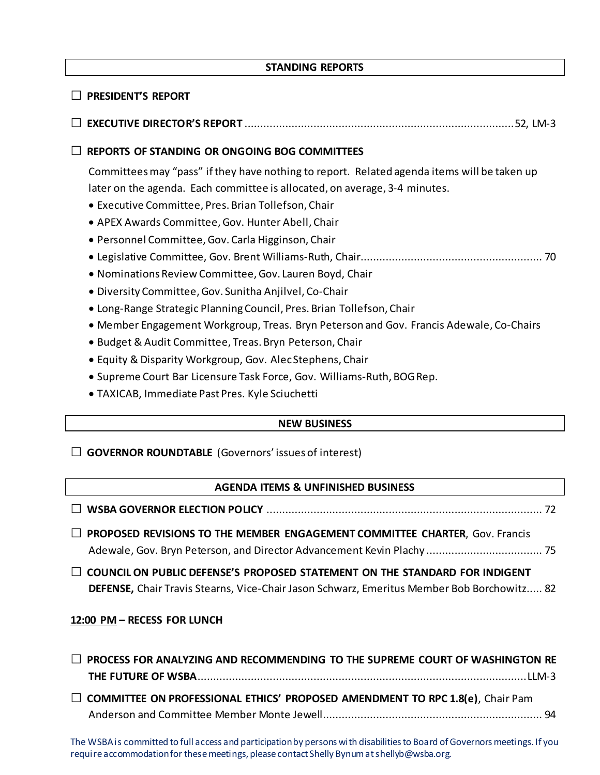## **STANDING REPORTS**

# **□ PRESIDENT'S REPORT □ EXECUTIVE DIRECTOR'S REPORT** ......................................................................................52, LM-3 **□ REPORTS OF STANDING OR ONGOING BOG COMMITTEES**  Committees may "pass" if they have nothing to report. Related agenda items will be taken up later on the agenda. Each committee is allocated, on average, 3-4 minutes. • Executive Committee, Pres. Brian Tollefson, Chair • APEX Awards Committee, Gov. Hunter Abell, Chair • Personnel Committee, Gov. Carla Higginson, Chair • Legislative Committee, Gov. Brent Williams-Ruth, Chair.......................................................... 70 • Nominations Review Committee, Gov. Lauren Boyd, Chair • Diversity Committee, Gov. Sunitha Anjilvel, Co-Chair • Long-Range Strategic Planning Council, Pres. Brian Tollefson, Chair • Member Engagement Workgroup, Treas. Bryn Peterson and Gov. Francis Adewale, Co-Chairs

- Budget & Audit Committee, Treas. Bryn Peterson, Chair
- Equity & Disparity Workgroup, Gov. Alec Stephens, Chair
- Supreme Court Bar Licensure Task Force, Gov. Williams-Ruth, BOG Rep.
- TAXICAB, Immediate Past Pres. Kyle Sciuchetti

## **NEW BUSINESS**

**□ GOVERNOR ROUNDTABLE** (Governors' issues of interest)

## **AGENDA ITEMS & UNFINISHED BUSINESS**

| $\Box$ PROPOSED REVISIONS TO THE MEMBER ENGAGEMENT COMMITTEE CHARTER, Gov. Francis                                                                                               |
|----------------------------------------------------------------------------------------------------------------------------------------------------------------------------------|
| $\Box$ COUNCIL ON PUBLIC DEFENSE'S PROPOSED STATEMENT ON THE STANDARD FOR INDIGENT<br>DEFENSE, Chair Travis Stearns, Vice-Chair Jason Schwarz, Emeritus Member Bob Borchowitz 82 |

#### **12:00 PM – RECESS FOR LUNCH**

**□ PROCESS FOR ANALYZING AND RECOMMENDING TO THE SUPREME COURT OF WASHINGTON RE THE FUTURE OF WSBA**.........................................................................................................LLM-3 **□ COMMITTEE ON PROFESSIONAL ETHICS' PROPOSED AMENDMENT TO RPC 1.8(e)**, Chair Pam Anderson and Committee Member Monte Jewell...................................................................... 94

The WSBA is committed to full access and participation by persons with disabilities to Board of Governors meetings. If you require accommodation for these meetings, please contact Shelly Bynumat shellyb@wsba.org.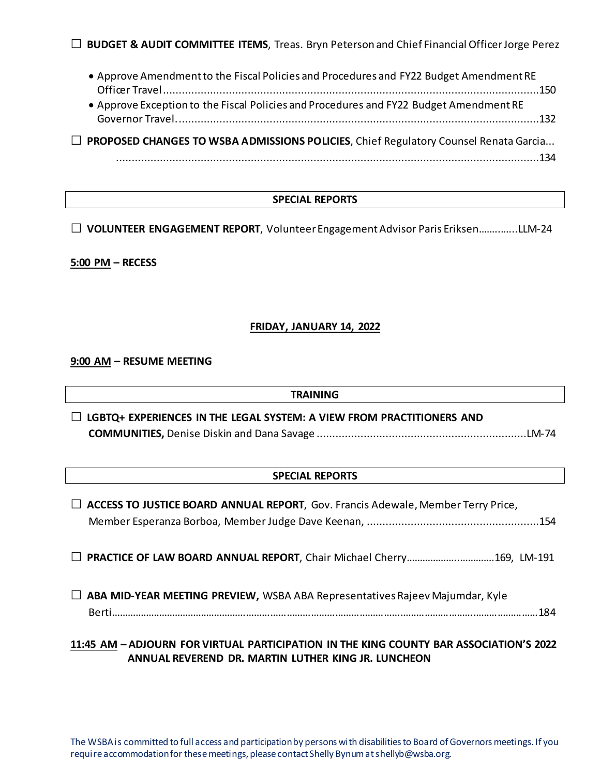**□ BUDGET & AUDIT COMMITTEE ITEMS**, Treas. Bryn Peterson and Chief Financial Officer Jorge Perez

• Approve Amendment to the Fiscal Policies and Procedures and FY22 Budget Amendment RE Officer Travel........................................................................................................................150 • Approve Exception to the Fiscal Policies and Procedures and FY22 Budget Amendment RE Governor Travel....................................................................................................................132 **□ PROPOSED CHANGES TO WSBA ADMISSIONS POLICIES**, Chief Regulatory Counsel Renata Garcia... .......................................................................................................................................134

#### **SPECIAL REPORTS**

**□ VOLUNTEER ENGAGEMENT REPORT**, Volunteer Engagement Advisor Paris Eriksen……..…...LLM-24

**5:00 PM – RECESS**

#### **FRIDAY, JANUARY 14, 2022**

**9:00 AM – RESUME MEETING**

#### **TRAINING**

**□ LGBTQ+ EXPERIENCES IN THE LEGAL SYSTEM: A VIEW FROM PRACTITIONERS AND COMMUNITIES,** Denise Diskin and Dana Savage ...................................................................LM-74

#### **SPECIAL REPORTS**

| $\Box$ ACCESS TO JUSTICE BOARD ANNUAL REPORT, Gov. Francis Adewale, Member Terry Price, |  |  |  |
|-----------------------------------------------------------------------------------------|--|--|--|
|                                                                                         |  |  |  |
| $\Box$ ABA MID-YEAR MEETING PREVIEW, WSBA ABA Representatives Rajeev Majumdar, Kyle     |  |  |  |
| 11:45 AM - ADJOURN FOR VIRTUAL PARTICIPATION IN THE KING COUNTY BAR ASSOCIATION'S 2022  |  |  |  |

**ANNUAL REVEREND DR. MARTIN LUTHER KING JR. LUNCHEON**

The WSBA is committed to full access and participation by persons with disabilities to Board of Governors meetings. If you require accommodation for these meetings, please contact Shelly Bynumat shellyb@wsba.org.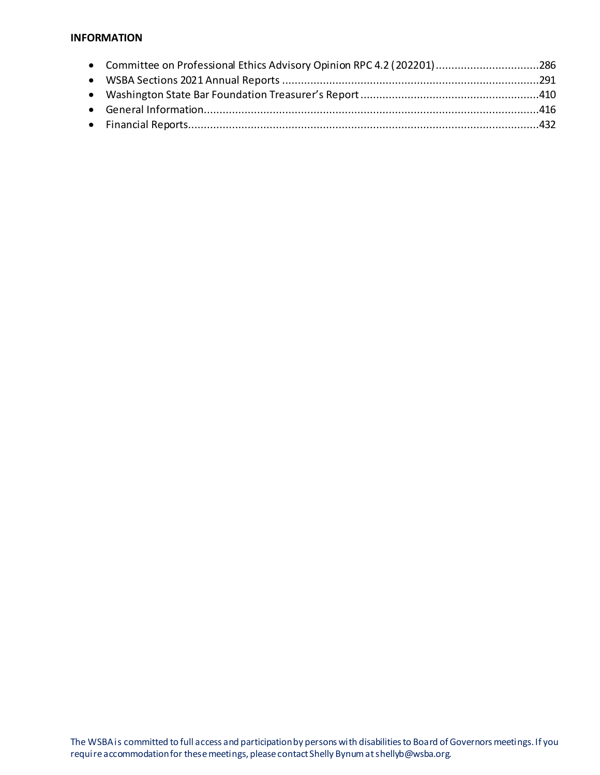#### **INFORMATION**